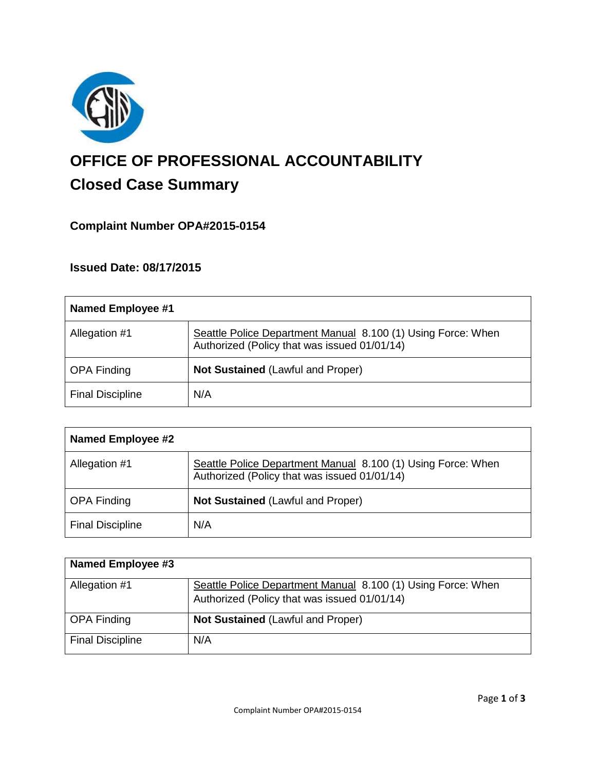

# **OFFICE OF PROFESSIONAL ACCOUNTABILITY Closed Case Summary**

# **Complaint Number OPA#2015-0154**

# **Issued Date: 08/17/2015**

| Named Employee #1       |                                                                                                              |
|-------------------------|--------------------------------------------------------------------------------------------------------------|
| Allegation #1           | Seattle Police Department Manual 8.100 (1) Using Force: When<br>Authorized (Policy that was issued 01/01/14) |
| <b>OPA Finding</b>      | <b>Not Sustained (Lawful and Proper)</b>                                                                     |
| <b>Final Discipline</b> | N/A                                                                                                          |

| <b>Named Employee #2</b> |                                                                                                              |
|--------------------------|--------------------------------------------------------------------------------------------------------------|
| Allegation #1            | Seattle Police Department Manual 8.100 (1) Using Force: When<br>Authorized (Policy that was issued 01/01/14) |
| <b>OPA Finding</b>       | <b>Not Sustained (Lawful and Proper)</b>                                                                     |
| <b>Final Discipline</b>  | N/A                                                                                                          |

| <b>Named Employee #3</b> |                                                              |
|--------------------------|--------------------------------------------------------------|
| Allegation #1            | Seattle Police Department Manual 8.100 (1) Using Force: When |
|                          | Authorized (Policy that was issued 01/01/14)                 |
| <b>OPA Finding</b>       | <b>Not Sustained (Lawful and Proper)</b>                     |
| <b>Final Discipline</b>  | N/A                                                          |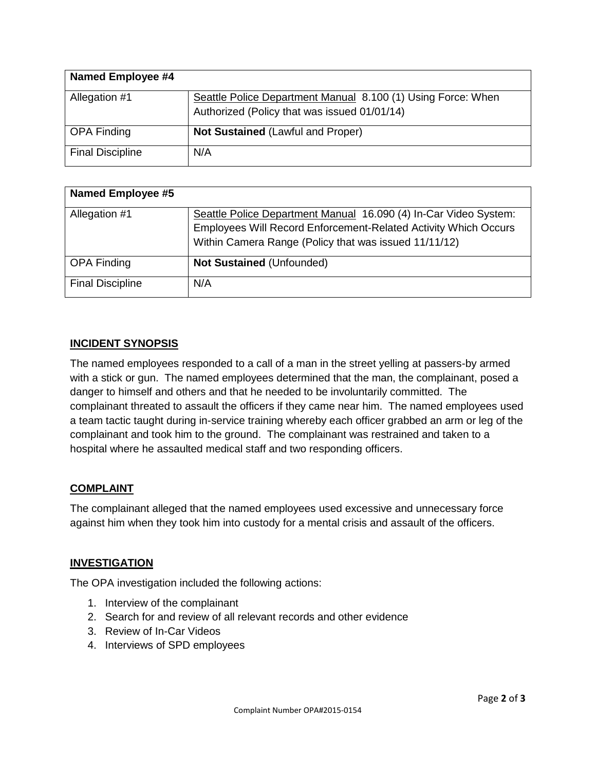| <b>Named Employee #4</b> |                                                              |
|--------------------------|--------------------------------------------------------------|
| Allegation #1            | Seattle Police Department Manual 8.100 (1) Using Force: When |
|                          | Authorized (Policy that was issued 01/01/14)                 |
| <b>OPA Finding</b>       | <b>Not Sustained (Lawful and Proper)</b>                     |
| <b>Final Discipline</b>  | N/A                                                          |

| <b>Named Employee #5</b> |                                                                  |
|--------------------------|------------------------------------------------------------------|
| Allegation #1            | Seattle Police Department Manual 16.090 (4) In-Car Video System: |
|                          | Employees Will Record Enforcement-Related Activity Which Occurs  |
|                          | Within Camera Range (Policy that was issued 11/11/12)            |
| <b>OPA Finding</b>       | <b>Not Sustained (Unfounded)</b>                                 |
| <b>Final Discipline</b>  | N/A                                                              |

## **INCIDENT SYNOPSIS**

The named employees responded to a call of a man in the street yelling at passers-by armed with a stick or gun. The named employees determined that the man, the complainant, posed a danger to himself and others and that he needed to be involuntarily committed. The complainant threated to assault the officers if they came near him. The named employees used a team tactic taught during in-service training whereby each officer grabbed an arm or leg of the complainant and took him to the ground. The complainant was restrained and taken to a hospital where he assaulted medical staff and two responding officers.

#### **COMPLAINT**

The complainant alleged that the named employees used excessive and unnecessary force against him when they took him into custody for a mental crisis and assault of the officers.

#### **INVESTIGATION**

The OPA investigation included the following actions:

- 1. Interview of the complainant
- 2. Search for and review of all relevant records and other evidence
- 3. Review of In-Car Videos
- 4. Interviews of SPD employees